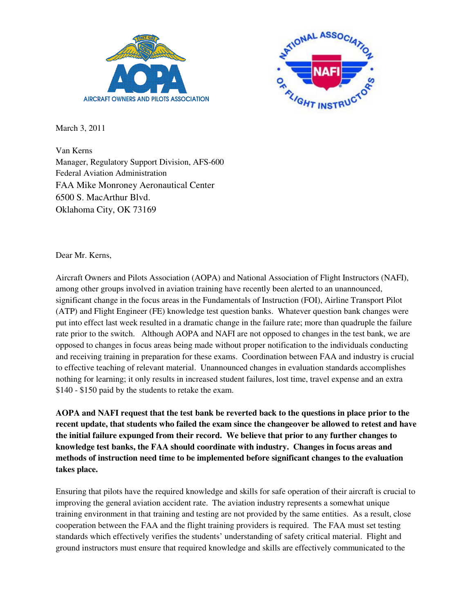



March 3, 2011

Van Kerns Manager, Regulatory Support Division, AFS-600 Federal Aviation Administration FAA Mike Monroney Aeronautical Center 6500 S. MacArthur Blvd. Oklahoma City, OK 73169

Dear Mr. Kerns,

Aircraft Owners and Pilots Association (AOPA) and National Association of Flight Instructors (NAFI), among other groups involved in aviation training have recently been alerted to an unannounced, significant change in the focus areas in the Fundamentals of Instruction (FOI), Airline Transport Pilot (ATP) and Flight Engineer (FE) knowledge test question banks. Whatever question bank changes were put into effect last week resulted in a dramatic change in the failure rate; more than quadruple the failure rate prior to the switch. Although AOPA and NAFI are not opposed to changes in the test bank, we are opposed to changes in focus areas being made without proper notification to the individuals conducting and receiving training in preparation for these exams. Coordination between FAA and industry is crucial to effective teaching of relevant material. Unannounced changes in evaluation standards accomplishes nothing for learning; it only results in increased student failures, lost time, travel expense and an extra \$140 - \$150 paid by the students to retake the exam.

AOPA and NAFI request that the test bank be reverted back to the questions in place prior to the **recent update, that students who failed the exam since the changeover be allowed to retest and have the initial failure expunged from their record. We believe that prior to any further changes to knowledge test banks, the FAA should coordinate with industry. Changes in focus areas and methods of instruction need time to be implemented before significant changes to the evaluation takes place.**

Ensuring that pilots have the required knowledge and skills for safe operation of their aircraft is crucial to improving the general aviation accident rate. The aviation industry represents a somewhat unique training environment in that training and testing are not provided by the same entities. As a result, close cooperation between the FAA and the flight training providers is required. The FAA must set testing standards which effectively verifies the students' understanding of safety critical material. Flight and ground instructors must ensure that required knowledge and skills are effectively communicated to the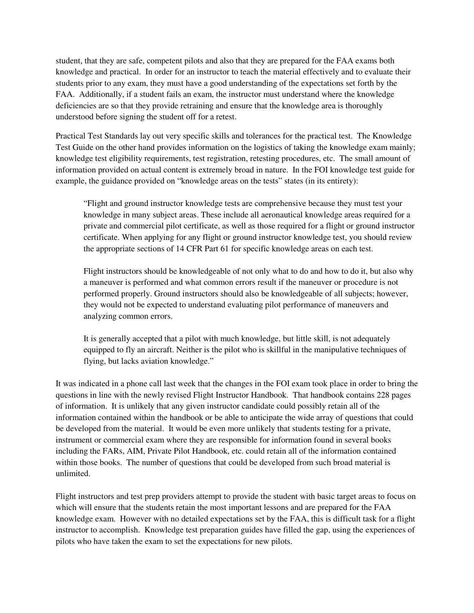student, that they are safe, competent pilots and also that they are prepared for the FAA exams both knowledge and practical. In order for an instructor to teach the material effectively and to evaluate their students prior to any exam, they must have a good understanding of the expectations set forth by the FAA. Additionally, if a student fails an exam, the instructor must understand where the knowledge deficiencies are so that they provide retraining and ensure that the knowledge area is thoroughly understood before signing the student off for a retest.

Practical Test Standards lay out very specific skills and tolerances for the practical test. The Knowledge Test Guide on the other hand provides information on the logistics of taking the knowledge exam mainly; knowledge test eligibility requirements, test registration, retesting procedures, etc. The small amount of information provided on actual content is extremely broad in nature. In the FOI knowledge test guide for example, the guidance provided on "knowledge areas on the tests" states (in its entirety):

"Flight and ground instructor knowledge tests are comprehensive because they must test your knowledge in many subject areas. These include all aeronautical knowledge areas required for a private and commercial pilot certificate, as well as those required for a flight or ground instructor certificate. When applying for any flight or ground instructor knowledge test, you should review the appropriate sections of 14 CFR Part 61 for specific knowledge areas on each test.

Flight instructors should be knowledgeable of not only what to do and how to do it, but also why a maneuver is performed and what common errors result if the maneuver or procedure is not performed properly. Ground instructors should also be knowledgeable of all subjects; however, they would not be expected to understand evaluating pilot performance of maneuvers and analyzing common errors.

It is generally accepted that a pilot with much knowledge, but little skill, is not adequately equipped to fly an aircraft. Neither is the pilot who is skillful in the manipulative techniques of flying, but lacks aviation knowledge."

It was indicated in a phone call last week that the changes in the FOI exam took place in order to bring the questions in line with the newly revised Flight Instructor Handbook. That handbook contains 228 pages of information. It is unlikely that any given instructor candidate could possibly retain all of the information contained within the handbook or be able to anticipate the wide array of questions that could be developed from the material. It would be even more unlikely that students testing for a private, instrument or commercial exam where they are responsible for information found in several books including the FARs, AIM, Private Pilot Handbook, etc. could retain all of the information contained within those books. The number of questions that could be developed from such broad material is unlimited.

Flight instructors and test prep providers attempt to provide the student with basic target areas to focus on which will ensure that the students retain the most important lessons and are prepared for the FAA knowledge exam. However with no detailed expectations set by the FAA, this is difficult task for a flight instructor to accomplish. Knowledge test preparation guides have filled the gap, using the experiences of pilots who have taken the exam to set the expectations for new pilots.